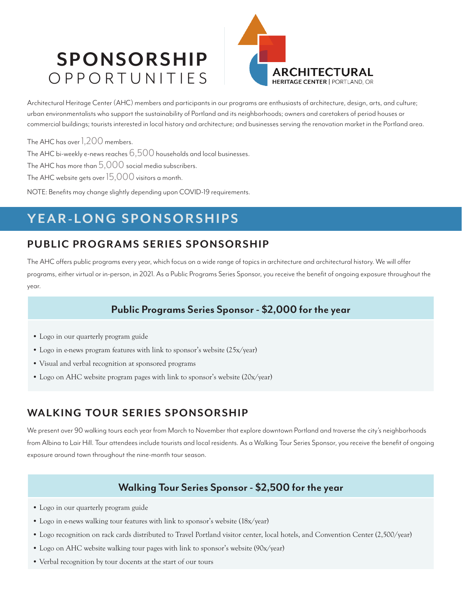# **SPONSORSHIP** OPPORTUNITIES



Architectural Heritage Center (AHC) members and participants in our programs are enthusiasts of architecture, design, arts, and culture; urban environmentalists who support the sustainability of Portland and its neighborhoods; owners and caretakers of period houses or commercial buildings; tourists interested in local history and architecture; and businesses serving the renovation market in the Portland area.

The AHC has over 1,200 members.

The AHC bi-weekly e-news reaches  $6,500$  households and local businesses.

The AHC has more than  $5,000$  social media subscribers.

The AHC website gets over 15,000 visitors a month.

NOTE: Benefits may change slightly depending upon COVID-19 requirements.

## **YEAR-LONG SPONSORSHIPS**

### **PUBLIC PROGRAMS SERIES SPONSORSHIP**

The AHC offers public programs every year, which focus on a wide range of topics in architecture and architectural history. We will offer programs, either virtual or in-person, in 2021. As a Public Programs Series Sponsor, you receive the benefit of ongoing exposure throughout the year.

### **Public Programs Series Sponsor - \$2,000 for the year**

- Logo in our quarterly program guide
- Logo in e-news program features with link to sponsor's website (25x/year)
- Visual and verbal recognition at sponsored programs
- Logo on AHC website program pages with link to sponsor's website (20x/year)

### WALKING TOUR SERIES SPONSORSHIP

We present over 90 walking tours each year from March to November that explore downtown Portland and traverse the city's neighborhoods from Albina to Lair Hill. Tour attendees include tourists and local residents. As a Walking Tour Series Sponsor, you receive the benefit of ongoing exposure around town throughout the nine-month tour season.

#### **Walking Tour Series Sponsor - \$2,500 for the year**

- Logo in our quarterly program guide
- Logo in e-news walking tour features with link to sponsor's website (18x/year)
- Logo recognition on rack cards distributed to Travel Portland visitor center, local hotels, and Convention Center (2,500/year)
- Logo on AHC website walking tour pages with link to sponsor's website (90x/year)
- Verbal recognition by tour docents at the start of our tours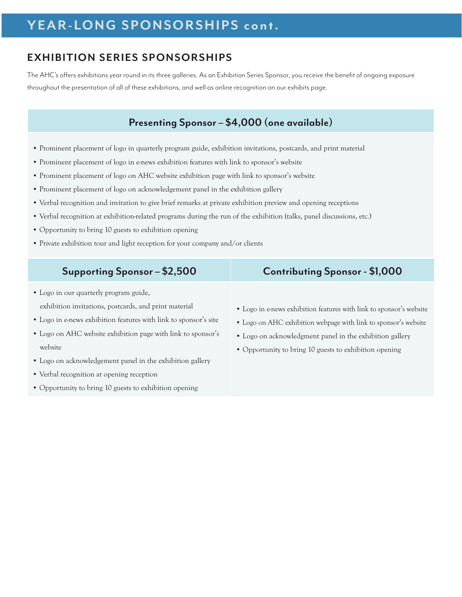# **YEAR-LONG SPONSORSHIPS cont.**

### **EXHIBITION SERIES SPONSORSHIPS**

The AHC's offers exhibitions year round in its three galleries. As an Exhibition Series Sponsor, you receive the benefi t of ongoing exposure throughout the presentation of all of these exhibitions, and well as online recognition on our exhibits page.

#### **Presenting Sponsor – \$4,000 (one available)**

- Prominent placement of logo in quarterly program guide, exhibition invitations, postcards, and print material
- Prominent placement of logo in e-news exhibition features with link to sponsor's website
- Prominent placement of logo on AHC website exhibition page with link to sponsor's website
- Prominent placement of logo on acknowledgement panel in the exhibition gallery
- Verbal recognition and invitation to give brief remarks at private exhibition preview and opening receptions
- Verbal recognition at exhibition-related programs during the run of the exhibition (talks, panel discussions, etc.)
- Opportunity to bring 10 guests to exhibition opening
- Private exhibition tour and light reception for your company and/or clients

| Supporting Sponsor - \$2,500                                     | <b>Contributing Sponsor - \$1,000</b>                               |
|------------------------------------------------------------------|---------------------------------------------------------------------|
| • Logo in our quarterly program guide,                           |                                                                     |
| exhibition invitations, postcards, and print material            | • Logo in e-news exhibition features with link to sponsor's website |
| • Logo in e-news exhibition features with link to sponsor's site | • Logo on AHC exhibition webpage with link to sponsor's website     |
| • Logo on AHC website exhibition page with link to sponsor's     | • Logo on acknowledgment panel in the exhibition gallery            |
| website                                                          | • Opportunity to bring 10 guests to exhibition opening              |
| • Logo on acknowledgement panel in the exhibition gallery        |                                                                     |
| • Verbal recognition at opening reception                        |                                                                     |

• Opportunity to bring 10 guests to exhibition opening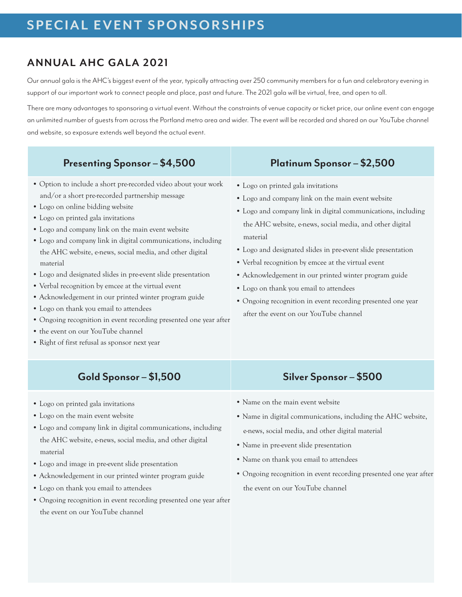#### **ANNUAL AHC GALA 2021**

Our annual gala is the AHC's biggest event of the year, typically attracting over 250 community members for a fun and celebratory evening in support of our important work to connect people and place, past and future. The 2021 gala will be virtual, free, and open to all.

There are many advantages to sponsoring a virtual event. Without the constraints of venue capacity or ticket price, our online event can engage an unlimited number of guests from across the Portland metro area and wider. The event will be recorded and shared on our YouTube channel and website, so exposure extends well beyond the actual event.

#### Presenting Sponsor – \$4,500 Platinum Sponsor – \$2,500

- Option to include a short pre-recorded video about your work and/or a short pre-recorded partnership message
- Logo on online bidding website
- Logo on printed gala invitations
- Logo and company link on the main event website
- Logo and company link in digital communications, including the AHC website, e-news, social media, and other digital material
- Logo and designated slides in pre-event slide presentation
- Verbal recognition by emcee at the virtual event
- Acknowledgement in our printed winter program guide
- Logo on thank you email to attendees
- Ongoing recognition in event recording presented one year after
- the event on our YouTube channel
- Right of first refusal as sponsor next year

#### **Gold Sponsor – \$1,500 Silver Sponsor – \$500**

- Logo on printed gala invitations
- Logo on the main event website
- Logo and company link in digital communications, including the AHC website, e-news, social media, and other digital material
- Logo and image in pre-event slide presentation
- Acknowledgement in our printed winter program guide
- Logo on thank you email to attendees
- Ongoing recognition in event recording presented one year after the event on our YouTube channel

- Logo on printed gala invitations
- Logo and company link on the main event website
- Logo and company link in digital communications, including the AHC website, e-news, social media, and other digital material
- Logo and designated slides in pre-event slide presentation
- Verbal recognition by emcee at the virtual event
- Acknowledgement in our printed winter program guide
- Logo on thank you email to attendees
- Ongoing recognition in event recording presented one year after the event on our YouTube channel

- Name on the main event website
- Name in digital communications, including the AHC website, e-news, social media, and other digital material
- Name in pre-event slide presentation
- Name on thank you email to attendees
- Ongoing recognition in event recording presented one year after the event on our YouTube channel